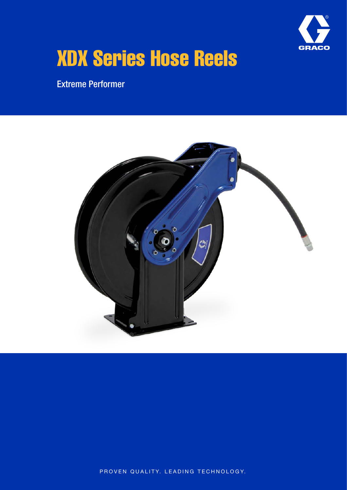

# XDX Series Hose Reels

Extreme Performer



PROVEN QUALITY. LEADING TECHNOLOGY.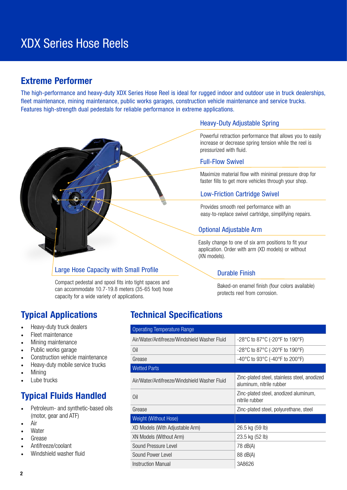## XDX Series Hose Reels

## Extreme Performer

The high-performance and heavy-duty XDX Series Hose Reel is ideal for rugged indoor and outdoor use in truck dealerships, fleet maintenance, mining maintenance, public works garages, construction vehicle maintenance and service trucks. Features high-strength dual pedestals for reliable performance in extreme applications.



## Large Hose Capacity with Small Profile Durable Finish

Compact pedestal and spool fits into tight spaces and can accommodate 10.7-19.8 meters (35-65 foot) hose capacity for a wide variety of applications.

- Heavy-duty truck dealers
- Fleet maintenance
- Mining maintenance
- Public works garage
- Construction vehicle maintenance
- Heavy-duty mobile service trucks
- Mining
- Lube trucks

## Typical Fluids Handled

- Petroleum- and synthetic-based oils (motor, gear and ATF)
- Air
- **Water**
- Grease
- Antifreeze/coolant
- Windshield washer fluid

## Heavy-Duty Adjustable Spring

Powerful retraction performance that allows you to easily increase or decrease spring tension while the reel is pressurized with fluid.

### Full-Flow Swivel

Maximize material flow with minimal pressure drop for faster fills to get more vehicles through your shop.

## Low-Friction Cartridge Swivel

Provides smooth reel performance with an easy-to-replace swivel cartridge, simplifying repairs.

## Optional Adjustable Arm

Easily change to one of six arm positions to fit your application. Order with arm (XD models) or without (XN models).

Baked-on enamel finish (four colors available) protects reel from corrosion.

## Typical Applications Technical Specifications

| <b>Operating Temperature Range</b>           |                                                                          |  |  |  |
|----------------------------------------------|--------------------------------------------------------------------------|--|--|--|
| Air/Water/Antifreeze/Windshield Washer Fluid | -28°C to 87°C (-20°F to 190°F)                                           |  |  |  |
| Oil                                          | -28°C to 87°C (-20°F to 190°F)                                           |  |  |  |
| Grease                                       | -40°C to 93°C (-40°F to 200°F)                                           |  |  |  |
| <b>Wetted Parts</b>                          |                                                                          |  |  |  |
| Air/Water/Antifreeze/Windshield Washer Fluid | Zinc-plated steel, stainless steel, anodized<br>aluminum, nitrile rubber |  |  |  |
| Oil                                          | Zinc-plated steel, anodized aluminum,<br>nitrile rubber                  |  |  |  |
| Grease                                       | Zinc-plated steel, polyurethane, steel                                   |  |  |  |
| Weight (Without Hose)                        |                                                                          |  |  |  |
| XD Models (With Adjustable Arm)              | 26.5 kg (59 lb)                                                          |  |  |  |
| XN Models (Without Arm)                      | 23.5 kg (52 lb)                                                          |  |  |  |
| Sound Pressure Level<br>78 dB(A)             |                                                                          |  |  |  |
| Sound Power Level                            | 88 dB(A)                                                                 |  |  |  |
| Instruction Manual                           | 3A8626                                                                   |  |  |  |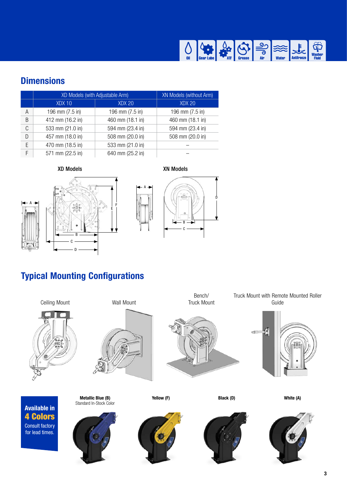

## **Dimensions**

|   | XD Models (with Adjustable Arm) |                  | <b>XN Models (without Arm)</b> |
|---|---------------------------------|------------------|--------------------------------|
|   | XDX 10                          | <b>XDX 20</b>    | <b>XDX 20</b>                  |
| А | 196 mm (7.5 in)                 | 196 mm (7.5 in)  | 196 mm (7.5 in)                |
| B | 412 mm (16.2 in)                | 460 mm (18.1 in) | 460 mm (18.1 in)               |
| C | 533 mm (21.0 in)                | 594 mm (23.4 in) | 594 mm (23.4 in)               |
| D | 457 mm (18.0 in)                | 508 mm (20.0 in) | 508 mm (20.0 in)               |
| F | 470 mm (18.5 in)                | 533 mm (21.0 in) |                                |
| F | 571 mm (22.5 in)                | 640 mm (25.2 in) |                                |







A



## Typical Mounting Configurations